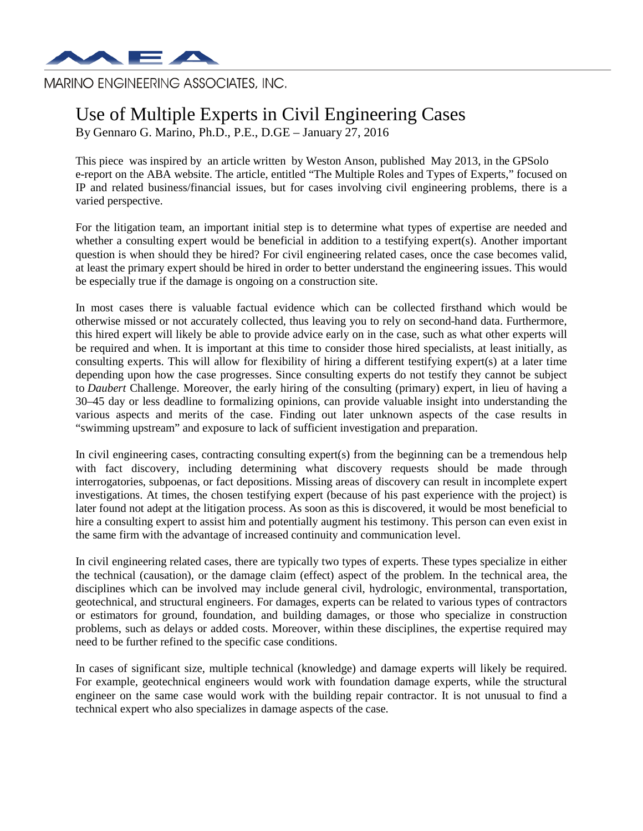

MARINO ENGINEERING ASSOCIATES, INC.

## Use of Multiple Experts in Civil Engineering Cases

By Gennaro G. Marino, Ph.D., P.E., D.GE – January 27, 2016

This piece was inspired by an article written by Weston Anson, published May 2013, in the GPSolo e-report on the ABA website. The article, entitled ["The Multiple Roles and Types of Experts,](http://www.americanbar.org/publications/gpsolo_ereport/2013/may_2013/multiple_roles_types_expert_witnesses.html)" focused on IP and related business/financial issues, but for cases involving civil engineering problems, there is a varied perspective.

For the litigation team, an important initial step is to determine what types of expertise are needed and whether a consulting expert would be beneficial in addition to a testifying expert(s). Another important question is when should they be hired? For civil engineering related cases, once the case becomes valid, at least the primary expert should be hired in order to better understand the engineering issues. This would be especially true if the damage is ongoing on a construction site.

In most cases there is valuable factual evidence which can be collected firsthand which would be otherwise missed or not accurately collected, thus leaving you to rely on second-hand data. Furthermore, this hired expert will likely be able to provide advice early on in the case, such as what other experts will be required and when. It is important at this time to consider those hired specialists, at least initially, as consulting experts. This will allow for flexibility of hiring a different testifying expert(s) at a later time depending upon how the case progresses. Since consulting experts do not testify they cannot be subject to *Daubert* Challenge. Moreover, the early hiring of the consulting (primary) expert, in lieu of having a 30–45 day or less deadline to formalizing opinions, can provide valuable insight into understanding the various aspects and merits of the case. Finding out later unknown aspects of the case results in "swimming upstream" and exposure to lack of sufficient investigation and preparation.

In civil engineering cases, contracting consulting expert(s) from the beginning can be a tremendous help with fact discovery, including determining what discovery requests should be made through interrogatories, subpoenas, or fact depositions. Missing areas of discovery can result in incomplete expert investigations. At times, the chosen testifying expert (because of his past experience with the project) is later found not adept at the litigation process. As soon as this is discovered, it would be most beneficial to hire a consulting expert to assist him and potentially augment his testimony. This person can even exist in the same firm with the advantage of increased continuity and communication level.

In civil engineering related cases, there are typically two types of experts. These types specialize in either the technical (causation), or the damage claim (effect) aspect of the problem. In the technical area, the disciplines which can be involved may include general civil, hydrologic, environmental, transportation, geotechnical, and structural engineers. For damages, experts can be related to various types of contractors or estimators for ground, foundation, and building damages, or those who specialize in construction problems, such as delays or added costs. Moreover, within these disciplines, the expertise required may need to be further refined to the specific case conditions.

In cases of significant size, multiple technical (knowledge) and damage experts will likely be required. For example, geotechnical engineers would work with foundation damage experts, while the structural engineer on the same case would work with the building repair contractor. It is not unusual to find a technical expert who also specializes in damage aspects of the case.